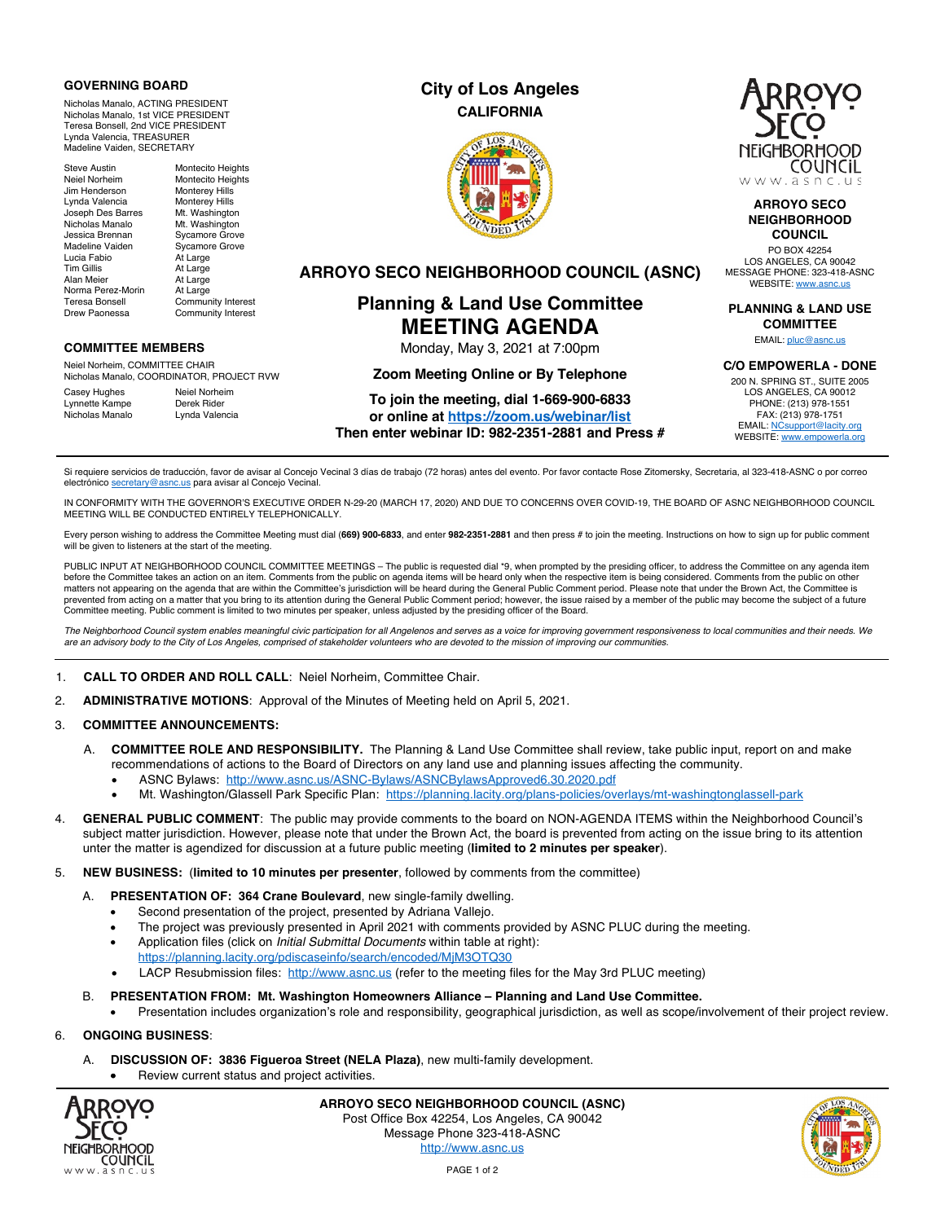### **GOVERNING BOARD**

Nicholas Manalo, ACTING PRESIDENT Nicholas Manalo, 1st VICE PRESIDENT Teresa Bonsell, 2nd VICE PRESIDENT Lynda Valencia, TREASURER Madeline Vaiden, SECRETARY

Jim Henderson Monterey Hills Lynda Valencia **Monterey Hills**<br>Joseph Des Barres Mt. Washington Joseph Des Barres Mt. Washington<br>Nicholas Manalo Mt. Washington Nicholas Manalo<br>Jessica Brennan Madeline Vaiden Sycamore Grove<br>
Lucia Fabio Xal Large Lucia Fabio<br>Tim Gillis Tim Gillis At Large<br>Alan Meier At Large Norma Perez-Morin At Large<br>Teresa Bonsell Commun Teresa Bonsell Community Interest<br>
Drew Paonessa Community Interest

Steve Austin Montecito Heights<br>
Neiel Norheim Montecito Heights Montecito Heights Sycamore Grove At Large

Community Interest

## **COMMITTEE MEMBERS**

Neiel Norheim, COMMITTEE CHAIR Nicholas Manalo, COORDINATOR, PROJECT RVW

Casey Hughes Neiel Norheim<br>
Lynnette Kampe Derek Rider Lynnette Kampe Derek Rider<br>Nicholas Manalo Lynda Valencia Nicholas Manalo

# **City of Los Angeles CALIFORNIA**



**ARROYO SECO NEIGHBORHOOD COUNCIL (ASNC)**

**Planning & Land Use Committee MEETING AGENDA** Monday, May 3, 2021 at 7:00pm **Zoom Meeting Online or By Telephone To join the meeting, dial 1-669-900-6833 or online at https://zoom.us/webinar/list Then enter webinar ID: 982-2351-2881 and Press #**



### **ARROYO SECO NEIGHBORHOOD COUNCIL**

PO BOX 42254 LOS ANGELES, CA 90042 MESSAGE PHONE: 323-418-ASNC WEBSITE: www.asnc.us

**PLANNING & LAND USE COMMITTEE**

EMAIL: pluc@asnc.us

**C/O EMPOWERLA - DONE**

200 N. SPRING ST., SUITE 2005 LOS ANGELES, CA 90012 PHONE: (213) 978-1551 FAX: (213) 978-1751 EMAIL: NCsupport@lacity.org WEBSITE: www.empowerla.org

Si requiere servicios de traducción, favor de avisar al Concejo Vecinal 3 días de trabajo (72 horas) antes del evento. Por favor contacte Rose Zitomersky, Secretaria, al 323-418-ASNC o por correo electrónico secretary@asnc.us para avisar al Concejo Vecinal.

IN CONFORMITY WITH THE GOVERNOR'S EXECUTIVE ORDER N-29-20 (MARCH 17, 2020) AND DUE TO CONCERNS OVER COVID-19, THE BOARD OF ASNC NEIGHBORHOOD COUNCIL MEETING WILL BE CONDUCTED ENTIRELY TELEPHONICALLY.

Every person wishing to address the Committee Meeting must dial (**669) 900-6833**, and enter **982-2351-2881** and then press # to join the meeting. Instructions on how to sign up for public comment will be given to listeners at the start of the meeting.

PUBLIC INPUT AT NEIGHBORHOOD COUNCIL COMMITTEE MEETINGS - The public is requested dial \*9, when prompted by the presiding officer, to address the Committee on any agenda item before the Committee takes an action on an item. Comments from the public on agenda items will be heard only when the respective item is being considered. Comments from the public on other matters not appearing on the agenda that are within the Committee's jurisdiction will be heard during the General Public Comment period. Please note that under the Brown Act, the Committee is prevented from acting on a matter that you bring to its attention during the General Public Comment period; however, the issue raised by a member of the public may become the subject of a future Committee meeting. Public comment is limited to two minutes per speaker, unless adjusted by the presiding officer of the Board.

*The Neighborhood Council system enables meaningful civic participation for all Angelenos and serves as a voice for improving government responsiveness to local communities and their needs. We are an advisory body to the City of Los Angeles, comprised of stakeholder volunteers who are devoted to the mission of improving our communities.*

- 1. **CALL TO ORDER AND ROLL CALL**: Neiel Norheim, Committee Chair.
- 2. **ADMINISTRATIVE MOTIONS**: Approval of the Minutes of Meeting held on April 5, 2021.

## 3. **COMMITTEE ANNOUNCEMENTS:**

- A. **COMMITTEE ROLE AND RESPONSIBILITY.** The Planning & Land Use Committee shall review, take public input, report on and make recommendations of actions to the Board of Directors on any land use and planning issues affecting the community.
	- ASNC Bylaws: http://www.asnc.us/ASNC-Bylaws/ASNCBylawsApproved6.30.2020.pdf
	- Mt. Washington/Glassell Park Specific Plan: https://planning.lacity.org/plans-policies/overlays/mt-washingtonglassell-park
- 4. **GENERAL PUBLIC COMMENT**: The public may provide comments to the board on NON-AGENDA ITEMS within the Neighborhood Council's subject matter jurisdiction. However, please note that under the Brown Act, the board is prevented from acting on the issue bring to its attention unter the matter is agendized for discussion at a future public meeting (**limited to 2 minutes per speaker**).
- 5. **NEW BUSINESS:** (**limited to 10 minutes per presenter**, followed by comments from the committee)
	- A. **PRESENTATION OF: 364 Crane Boulevard**, new single-family dwelling.
		- Second presentation of the project, presented by Adriana Vallejo.
		- The project was previously presented in April 2021 with comments provided by ASNC PLUC during the meeting.
		- Application files (click on *Initial Submittal Documents* within table at right): https://planning.lacity.org/pdiscaseinfo/search/encoded/MjM3OTQ30
		- LACP Resubmission files: http://www.asnc.us (refer to the meeting files for the May 3rd PLUC meeting)
	- B. **PRESENTATION FROM: Mt. Washington Homeowners Alliance – Planning and Land Use Committee.**
	- Presentation includes organization's role and responsibility, geographical jurisdiction, as well as scope/involvement of their project review.

#### 6. **ONGOING BUSINESS**:

- A. **DISCUSSION OF: 3836 Figueroa Street (NELA Plaza)**, new multi-family development.
	- Review current status and project activities.



**ARROYO SECO NEIGHBORHOOD COUNCIL (ASNC)** Post Office Box 42254, Los Angeles, CA 90042 Message Phone 323-418-ASNC http://www.asnc.us